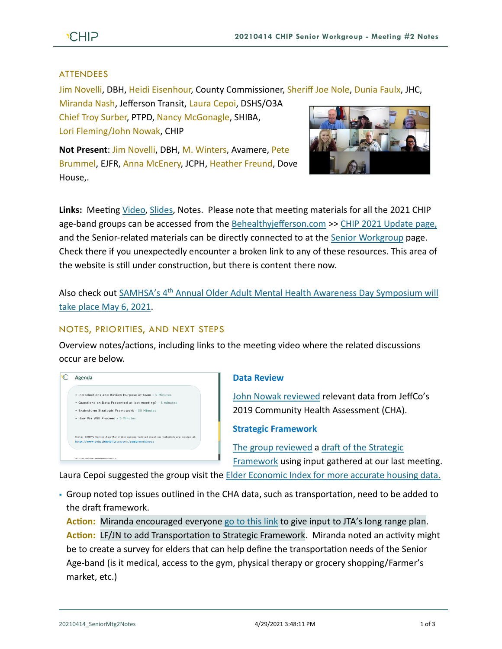## ATTENDEES

Jim Novelli, DBH, Heidi Eisenhour, County Commissioner, Sheriff Joe Nole, Dunia Faulx, JHC,

Miranda Nash, Jefferson Transit, Laura Cepoi, DSHS/O3A Chief Troy Surber, PTPD, Nancy McGonagle, SHIBA, Lori Fleming/John Nowak, CHIP

**Not Present**: Jim Novelli, DBH, M. Winters, Avamere, Pete Brummel, EJFR, Anna McEnery, JCPH, Heather Freund, Dove House,.



**Links:** Meeting [Video,](https://www.youtube.com/watch?v=3YA65ITN1cA) [Slides,](https://793b0af6-bf22-4c2c-91c8-8cc6fd2f172d.filesusr.com/ugd/2fdcdd_073dc0d70c6e411e91f5d159f6d57f44.pdf) Notes. Please note that meeting materials for all the 2021 CHIP age-band groups can be accessed from the [Behealthyjefferson.com](https://www.behealthyjefferson.com/) >> [CHIP 2021 Update](https://www.behealthyjefferson.com/chip2021update) page, and the Senior-related materials can be directly connected to at the Senior [Workgroup](https://www.behealthyjefferson.com/seniorworkgroup) page. Check there if you unexpectedly encounter a broken link to any of these resources. This area of the website is still under construction, but there is content there now.

Also check out SAMHSA's 4th [Annual Older Adult Mental Health Awareness Day Symposium will](https://www.ncoa.org/event/4th-annual-older-adult-mental-health-awareness-day-symposium/)  [take place May 6, 2021.](https://www.ncoa.org/event/4th-annual-older-adult-mental-health-awareness-day-symposium/)

# NOTES, PRIORITIES, AND NEXT STEPS

Overview notes/actions, including links to the meeting video where the related discussions occur are below.



## **Data Review**

[John Nowak reviewed](https://youtu.be/3YA65ITN1cA?t=237) relevant data from JeffCo's 2019 Community Health Assessment (CHA).

**Strategic Framework** 

[The group](https://youtu.be/3YA65ITN1cA?t=504) reviewed a [draft of the Strategic](https://793b0af6-bf22-4c2c-91c8-8cc6fd2f172d.filesusr.com/ugd/2fdcdd_4a2efdfea0c84521bae20b144a8ef391.pdf)  [Framework](https://793b0af6-bf22-4c2c-91c8-8cc6fd2f172d.filesusr.com/ugd/2fdcdd_4a2efdfea0c84521bae20b144a8ef391.pdf) using input gathered at our last meeting.

Laura Cepoi suggested the group visit the **Elder Economic Index for more accurate housing data**.

▪ Group noted top issues outlined in the CHA data, such as transportation, need to be added to the draft framework.

**Action:** Miranda encouraged everyone [go to this link](https://www.jeffersontransitplan.com/open-house) to give input to JTA's long range plan. **Action:** LF/JN to add Transportation to Strategic Framework. Miranda noted an activity might be to create a survey for elders that can help define the transportation needs of the Senior Age-band (is it medical, access to the gym, physical therapy or grocery shopping/Farmer's market, etc.)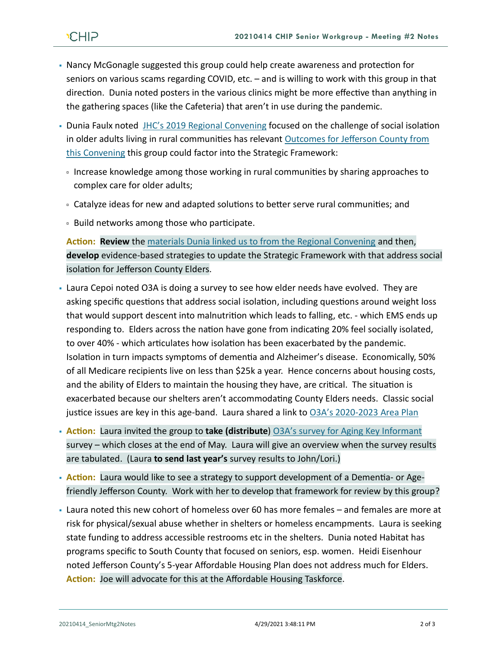- Nancy McGonagle suggested this group could help create awareness and protection for seniors on various scams regarding COVID, etc. – and is willing to work with this group in that direction. Dunia noted posters in the various clinics might be more effective than anything in the gathering spaces (like the Cafeteria) that aren't in use during the pandemic.
- Dunia Faulx noted [JHC's 2019 Regional Convening](https://jeffersonhealthcare.org/regional-convening-the-health-of-older-adults-in-rural-communities-mind-body-body-and-soul/) focused on the challenge of social isolation in older adults living in rural communities has relevant Outcomes for Jefferson County from [this Convening](https://www.nationalcomplex.care/regional-convenings/regional-convenings-2019-washington/) this group could factor into the Strategic Framework:
	- Increase knowledge among those working in rural communities by sharing approaches to complex care for older adults;
	- Catalyze ideas for new and adapted solutions to better serve rural communities; and
	- Build networks among those who participate.

**Action: Review** the [materials Dunia linked us to from the Regional Convening](https://www.nationalcomplex.care/regional-convenings/regional-convenings-2019-washington/) and then, **develop** evidence-based strategies to update the Strategic Framework with that address social isolation for Jefferson County Elders.

- Laura Cepoi noted O3A is doing a survey to see how elder needs have evolved. They are asking specific questions that address social isolation, including questions around weight loss that would support descent into malnutrition which leads to falling, etc. - which EMS ends up responding to. Elders across the nation have gone from indicating 20% feel socially isolated, to over 40% - which articulates how isolation has been exacerbated by the pandemic. Isolation in turn impacts symptoms of dementia and Alzheimer's disease. Economically, 50% of all Medicare recipients live on less than \$25k a year. Hence concerns about housing costs, and the ability of Elders to maintain the housing they have, are critical. The situation is exacerbated because our shelters aren't accommodating County Elders needs. Classic social justice issues are key in this age-band. Laura shared a link to [O3A's 2020-2023 Area Plan](https://www.o3a.org/files/2020/04/O3A-2020-2023-Area-Plan-FINAL-10032019-1.pdf)
- **Action:** Laura invited the group to **take (distribute**) [O3A's survey for Aging Key Informant](https://www.surveymonkey.com/r/LN7KW7X) survey – which closes at the end of May. Laura will give an overview when the survey results are tabulated. (Laura **to send last year's** survey results to John/Lori.)
- **Action:** Laura would like to see a strategy to support development of a Dementia- or Agefriendly Jefferson County. Work with her to develop that framework for review by this group?
- Laura noted this new cohort of homeless over 60 has more females and females are more at risk for physical/sexual abuse whether in shelters or homeless encampments. Laura is seeking state funding to address accessible restrooms etc in the shelters. Dunia noted Habitat has programs specific to South County that focused on seniors, esp. women. Heidi Eisenhour noted Jefferson County's 5-year Affordable Housing Plan does not address much for Elders. **Action:** Joe will advocate for this at the Affordable Housing Taskforce.